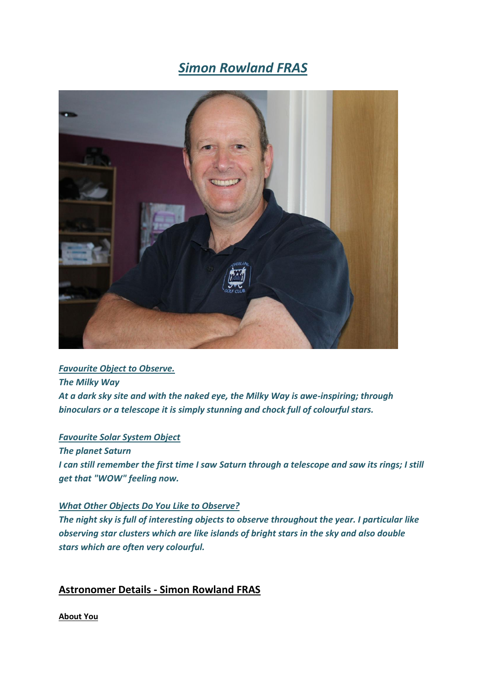# *Simon Rowland FRAS*



## *Favourite Object to Observe. The Milky Way At a dark sky site and with the naked eye, the Milky Way is awe-inspiring; through binoculars or a telescope it is simply stunning and chock full of colourful stars.*

#### *Favourite Solar System Object*

*The planet Saturn*

*I can still remember the first time I saw Saturn through a telescope and saw its rings; I still get that "WOW" feeling now.*

#### *What Other Objects Do You Like to Observe?*

*The night sky is full of interesting objects to observe throughout the year. I particular like observing star clusters which are like islands of bright stars in the sky and also double stars which are often very colourful.*

### **Astronomer Details - Simon Rowland FRAS**

**About You**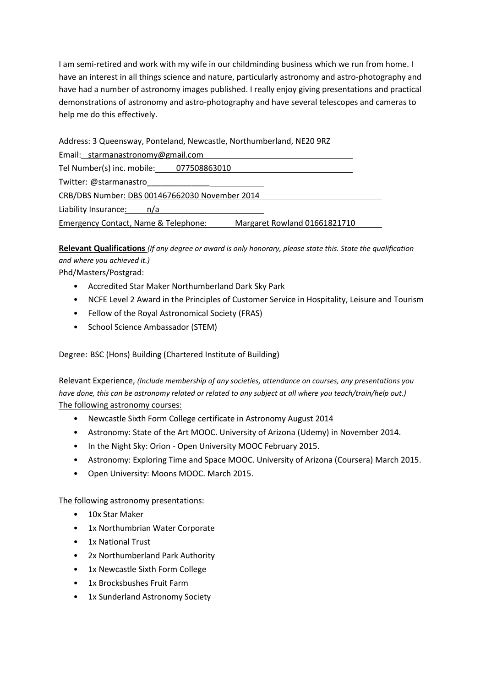I am semi-retired and work with my wife in our childminding business which we run from home. I have an interest in all things science and nature, particularly astronomy and astro-photography and have had a number of astronomy images published. I really enjoy giving presentations and practical demonstrations of astronomy and astro-photography and have several telescopes and cameras to help me do this effectively.

Address: 3 Queensway, Ponteland, Newcastle, Northumberland, NE20 9RZ

| Email: starmanastronomy@gmail.com                                    |  |
|----------------------------------------------------------------------|--|
| Tel Number(s) inc. mobile: 077508863010                              |  |
| Twitter: @starmanastro                                               |  |
| CRB/DBS Number: DBS 001467662030 November 2014                       |  |
| Liability Insurance: n/a                                             |  |
| Margaret Rowland 01661821710<br>Emergency Contact, Name & Telephone: |  |

**Relevant Qualifications** *(If any degree or award is only honorary, please state this. State the qualification and where you achieved it.)*

Phd/Masters/Postgrad:

- Accredited Star Maker Northumberland Dark Sky Park
- NCFE Level 2 Award in the Principles of Customer Service in Hospitality, Leisure and Tourism
- Fellow of the Royal Astronomical Society (FRAS)
- School Science Ambassador (STEM)

Degree: BSC (Hons) Building (Chartered Institute of Building)

Relevant Experience, *(Include membership of any societies, attendance on courses, any presentations you have done, this can be astronomy related or related to any subject at all where you teach/train/help out.)* The following astronomy courses:

- Newcastle Sixth Form College certificate in Astronomy August 2014
- Astronomy: State of the Art MOOC. University of Arizona (Udemy) in November 2014.
- In the Night Sky: Orion Open University MOOC February 2015.
- Astronomy: Exploring Time and Space MOOC. University of Arizona (Coursera) March 2015.
- Open University: Moons MOOC. March 2015.

#### The following astronomy presentations:

- 10x Star Maker
- 1x Northumbrian Water Corporate
- 1x National Trust
- 2x Northumberland Park Authority
- 1x Newcastle Sixth Form College
- 1x Brocksbushes Fruit Farm
- 1x Sunderland Astronomy Society